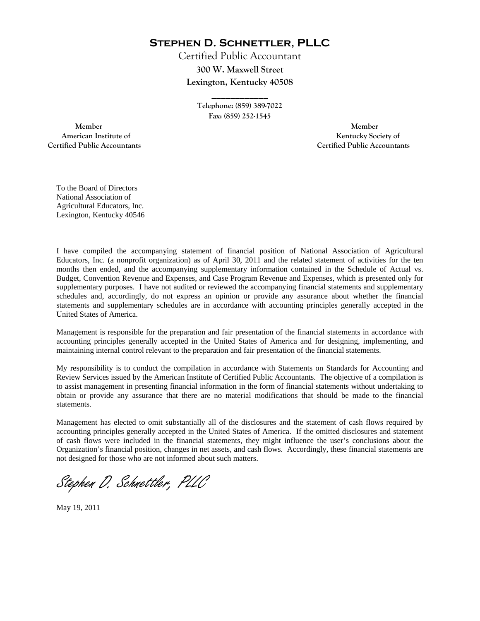**Stephen D. Schnettler, PLLC**

Certified Public Accountant **300 W. Maxwell Street Lexington, Kentucky 40508** 

> **Telephone: (859) 389-7022 Fax: (859) 252-1545**

**\_\_\_\_\_\_\_\_\_\_\_\_** 

 **Member Member Certified Public Accountants Certified Public Accountants** 

American Institute of **Kentucky Society of American Institute of** 

To the Board of Directors National Association of Agricultural Educators, Inc. Lexington, Kentucky 40546

I have compiled the accompanying statement of financial position of National Association of Agricultural Educators, Inc. (a nonprofit organization) as of April 30, 2011 and the related statement of activities for the ten months then ended, and the accompanying supplementary information contained in the Schedule of Actual vs. Budget, Convention Revenue and Expenses, and Case Program Revenue and Expenses, which is presented only for supplementary purposes. I have not audited or reviewed the accompanying financial statements and supplementary schedules and, accordingly, do not express an opinion or provide any assurance about whether the financial statements and supplementary schedules are in accordance with accounting principles generally accepted in the United States of America.

Management is responsible for the preparation and fair presentation of the financial statements in accordance with accounting principles generally accepted in the United States of America and for designing, implementing, and maintaining internal control relevant to the preparation and fair presentation of the financial statements.

My responsibility is to conduct the compilation in accordance with Statements on Standards for Accounting and Review Services issued by the American Institute of Certified Public Accountants. The objective of a compilation is to assist management in presenting financial information in the form of financial statements without undertaking to obtain or provide any assurance that there are no material modifications that should be made to the financial statements.

Management has elected to omit substantially all of the disclosures and the statement of cash flows required by accounting principles generally accepted in the United States of America. If the omitted disclosures and statement of cash flows were included in the financial statements, they might influence the user's conclusions about the Organization's financial position, changes in net assets, and cash flows. Accordingly, these financial statements are not designed for those who are not informed about such matters.

Stephen D. Schnettler, PLLC

May 19, 2011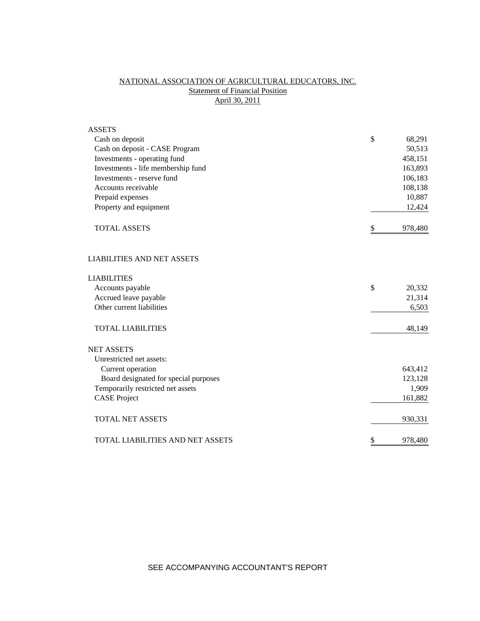# NATIONAL ASSOCIATION OF AGRICULTURAL EDUCATORS, INC. **Statement of Financial Position** April 30, 2011

| $\mathcal{S}$<br>Cash on deposit<br>68,291<br>Cash on deposit - CASE Program<br>50,513<br>Investments - operating fund<br>458,151<br>Investments - life membership fund<br>163,893<br>Investments - reserve fund<br>106,183<br>Accounts receivable<br>108,138<br>Prepaid expenses<br>10,887<br>Property and equipment<br>12,424<br>\$<br><b>TOTAL ASSETS</b><br>978,480<br><b>LIABILITIES AND NET ASSETS</b><br><b>LIABILITIES</b><br>\$<br>Accounts payable<br>20,332<br>Accrued leave payable<br>21,314<br>Other current liabilities<br>6,503<br><b>TOTAL LIABILITIES</b><br>48,149<br><b>NET ASSETS</b><br>Unrestricted net assets:<br>Current operation<br>643,412<br>Board designated for special purposes<br>123,128<br>Temporarily restricted net assets<br>1,909<br><b>CASE Project</b><br>161,882<br><b>TOTAL NET ASSETS</b><br>930,331<br>\$<br>TOTAL LIABILITIES AND NET ASSETS<br>978,480 | <b>ASSETS</b> |  |
|-------------------------------------------------------------------------------------------------------------------------------------------------------------------------------------------------------------------------------------------------------------------------------------------------------------------------------------------------------------------------------------------------------------------------------------------------------------------------------------------------------------------------------------------------------------------------------------------------------------------------------------------------------------------------------------------------------------------------------------------------------------------------------------------------------------------------------------------------------------------------------------------------------|---------------|--|
|                                                                                                                                                                                                                                                                                                                                                                                                                                                                                                                                                                                                                                                                                                                                                                                                                                                                                                       |               |  |
|                                                                                                                                                                                                                                                                                                                                                                                                                                                                                                                                                                                                                                                                                                                                                                                                                                                                                                       |               |  |
|                                                                                                                                                                                                                                                                                                                                                                                                                                                                                                                                                                                                                                                                                                                                                                                                                                                                                                       |               |  |
|                                                                                                                                                                                                                                                                                                                                                                                                                                                                                                                                                                                                                                                                                                                                                                                                                                                                                                       |               |  |
|                                                                                                                                                                                                                                                                                                                                                                                                                                                                                                                                                                                                                                                                                                                                                                                                                                                                                                       |               |  |
|                                                                                                                                                                                                                                                                                                                                                                                                                                                                                                                                                                                                                                                                                                                                                                                                                                                                                                       |               |  |
|                                                                                                                                                                                                                                                                                                                                                                                                                                                                                                                                                                                                                                                                                                                                                                                                                                                                                                       |               |  |
|                                                                                                                                                                                                                                                                                                                                                                                                                                                                                                                                                                                                                                                                                                                                                                                                                                                                                                       |               |  |
|                                                                                                                                                                                                                                                                                                                                                                                                                                                                                                                                                                                                                                                                                                                                                                                                                                                                                                       |               |  |
|                                                                                                                                                                                                                                                                                                                                                                                                                                                                                                                                                                                                                                                                                                                                                                                                                                                                                                       |               |  |
|                                                                                                                                                                                                                                                                                                                                                                                                                                                                                                                                                                                                                                                                                                                                                                                                                                                                                                       |               |  |
|                                                                                                                                                                                                                                                                                                                                                                                                                                                                                                                                                                                                                                                                                                                                                                                                                                                                                                       |               |  |
|                                                                                                                                                                                                                                                                                                                                                                                                                                                                                                                                                                                                                                                                                                                                                                                                                                                                                                       |               |  |
|                                                                                                                                                                                                                                                                                                                                                                                                                                                                                                                                                                                                                                                                                                                                                                                                                                                                                                       |               |  |
|                                                                                                                                                                                                                                                                                                                                                                                                                                                                                                                                                                                                                                                                                                                                                                                                                                                                                                       |               |  |
|                                                                                                                                                                                                                                                                                                                                                                                                                                                                                                                                                                                                                                                                                                                                                                                                                                                                                                       |               |  |
|                                                                                                                                                                                                                                                                                                                                                                                                                                                                                                                                                                                                                                                                                                                                                                                                                                                                                                       |               |  |
|                                                                                                                                                                                                                                                                                                                                                                                                                                                                                                                                                                                                                                                                                                                                                                                                                                                                                                       |               |  |
|                                                                                                                                                                                                                                                                                                                                                                                                                                                                                                                                                                                                                                                                                                                                                                                                                                                                                                       |               |  |
|                                                                                                                                                                                                                                                                                                                                                                                                                                                                                                                                                                                                                                                                                                                                                                                                                                                                                                       |               |  |
|                                                                                                                                                                                                                                                                                                                                                                                                                                                                                                                                                                                                                                                                                                                                                                                                                                                                                                       |               |  |
|                                                                                                                                                                                                                                                                                                                                                                                                                                                                                                                                                                                                                                                                                                                                                                                                                                                                                                       |               |  |
|                                                                                                                                                                                                                                                                                                                                                                                                                                                                                                                                                                                                                                                                                                                                                                                                                                                                                                       |               |  |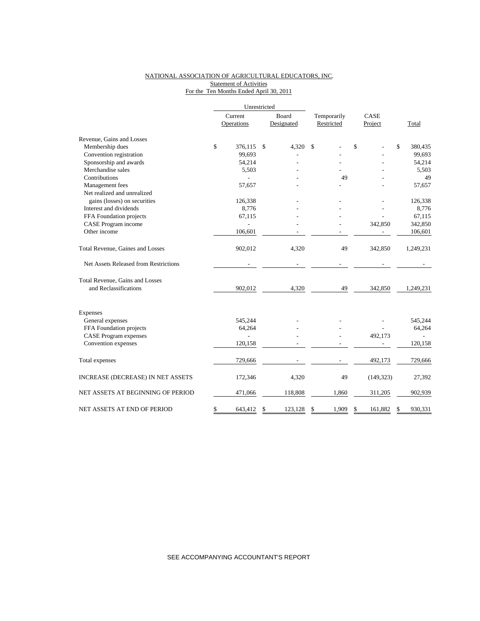### NATIONAL ASSOCIATION OF AGRICULTURAL EDUCATORS, INC. **Statement of Activities** For the Ten Months Ended April 30, 2011

|                                       |         | Unrestricted |    |            |             |         |            |               |
|---------------------------------------|---------|--------------|----|------------|-------------|---------|------------|---------------|
|                                       | Current |              |    | Board      | Temporarily |         | CASE       |               |
|                                       |         | Operations   |    | Designated | Restricted  | Project |            | Total         |
| Revenue, Gains and Losses             |         |              |    |            |             |         |            |               |
| Membership dues                       | \$      | 376,115      | \$ | 4,320      | \$          | \$      |            | \$<br>380,435 |
| Convention registration               |         | 99,693       |    |            |             |         |            | 99,693        |
| Sponsorship and awards                |         | 54,214       |    |            |             |         |            | 54,214        |
| Merchandise sales                     |         | 5,503        |    |            |             |         |            | 5,503         |
| Contributions                         |         |              |    |            | 49          |         |            | 49            |
| Management fees                       |         | 57,657       |    |            |             |         |            | 57,657        |
| Net realized and unrealized           |         |              |    |            |             |         |            |               |
| gains (losses) on securities          |         | 126,338      |    |            |             |         |            | 126,338       |
| Interest and dividends                |         | 8,776        |    |            |             |         |            | 8,776         |
| FFA Foundation projects               |         | 67,115       |    |            |             |         |            | 67,115        |
| CASE Program income                   |         |              |    |            |             |         | 342,850    | 342,850       |
| Other income                          |         | 106,601      |    |            |             |         |            | 106,601       |
| Total Revenue, Gaines and Losses      |         | 902,012      |    | 4,320      | 49          |         | 342,850    | 1,249,231     |
| Net Assets Released from Restrictions |         |              |    |            |             |         |            |               |
| Total Revenue, Gains and Losses       |         |              |    |            |             |         |            |               |
| and Reclassifications                 |         | 902,012      |    | 4,320      | 49          |         | 342,850    | 1,249,231     |
| <b>Expenses</b>                       |         |              |    |            |             |         |            |               |
| General expenses                      |         | 545,244      |    |            |             |         |            | 545,244       |
| FFA Foundation projects               |         | 64,264       |    |            |             |         |            | 64,264        |
| <b>CASE</b> Program expenses          |         | ÷            |    |            |             |         | 492,173    |               |
| Convention expenses                   |         | 120,158      |    |            |             |         |            | 120,158       |
| Total expenses                        |         | 729,666      |    |            |             |         | 492,173    | 729,666       |
| INCREASE (DECREASE) IN NET ASSETS     |         | 172,346      |    | 4,320      | 49          |         | (149, 323) | 27,392        |
| NET ASSETS AT BEGINNING OF PERIOD     |         | 471,066      |    | 118,808    | 1,860       |         | 311,205    | 902,939       |
| NET ASSETS AT END OF PERIOD           | \$      | 643,412      | \$ | 123,128    | 1,909<br>\$ | \$      | 161,882    | \$<br>930,331 |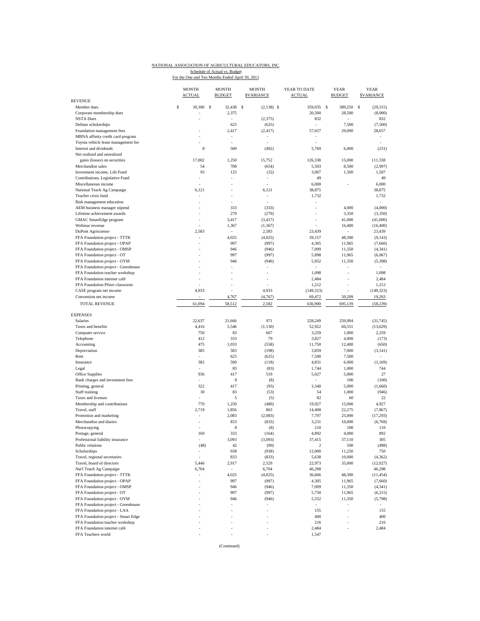### NATIONAL ASSOCIATION OF AGRICULTURAL EDUCATORS, INC. Schedule of Actual vs. Budget<br>For the One and Ten Months Ended April 30, 2011

|                                     | <b>MONTH</b><br><b>MONTH</b><br><b>ACTUAL</b><br><b>BUDGET</b> |                          | <b>MONTH</b><br><b>SVARIANCE</b> | YEAR TO DATE<br><b>ACTUAL</b> | <b>YEAR</b><br><b>BUDGET</b> | <b>YEAR</b><br><b>SVARIANCE</b> |  |
|-------------------------------------|----------------------------------------------------------------|--------------------------|----------------------------------|-------------------------------|------------------------------|---------------------------------|--|
| REVENUE<br>Member dues              | \$<br>30,300                                                   | $\mathbf{s}$<br>32,438   | \$                               | 359,935                       | <sup>\$</sup><br>389,250     | s<br>(29.315)                   |  |
| Corporate membership dues           |                                                                |                          | $(2,138)$ \$                     |                               |                              |                                 |  |
| <b>NSTA Dues</b>                    | ÷,                                                             | 2,375<br>ä,              | (2,375)                          | 20,500<br>832                 | 28,500<br>L                  | (8,000)<br>832                  |  |
| Delmar scholarships                 |                                                                | 625                      | (625)                            |                               | 7,500                        | (7,500)                         |  |
| Foundation management fees          |                                                                | 2,417                    | (2, 417)                         | 57,657                        | 29,000                       | 28,657                          |  |
| MBNA affinity credit card program   |                                                                |                          |                                  |                               |                              |                                 |  |
| Toyota vehicle lease management fee |                                                                |                          |                                  | ÷,                            |                              |                                 |  |
| Interest and dividends              | 8                                                              | 500                      | (492)                            | 5,769                         | 6,000                        | (231)                           |  |
| Net realized and unrealized         |                                                                |                          |                                  |                               |                              |                                 |  |
| gains (losses) on securities        | 17,002                                                         | 1,250                    | 15,752                           | 126,338                       | 15,000                       | 111,338                         |  |
| Merchandise sales                   | 54                                                             | 708                      | (654)                            | 5,503                         | 8,500                        | (2,997)                         |  |
| Investment income, Life Fund        | 93                                                             | 125                      | (32)                             | 3,007                         | 1,500                        | 1,507                           |  |
| Contributions, Legislative Fund     |                                                                | ÷,                       | ÷,                               | 49                            |                              | 49                              |  |
| Miscellaneous income                |                                                                |                          |                                  | 6,000                         |                              | 6,000                           |  |
| National Teach Ag Campaign          | 6,121                                                          |                          | 6,121                            | 38,875                        |                              | 38,875                          |  |
| Teacher crisis fund                 |                                                                |                          |                                  | 1,732                         |                              | 1,732                           |  |
| Risk management education           |                                                                |                          |                                  |                               |                              | $\sim$                          |  |
| AEM business manager stipend        |                                                                | 333                      | (333)                            |                               | 4,000                        | (4,000)                         |  |
| Lifetime achievement awards         |                                                                | 279                      | (279)                            |                               | 3,350                        | (3,350)                         |  |
| GMAC SmartEdge program              |                                                                | 3,417                    | (3, 417)                         | $\overline{\phantom{a}}$      | 41,000                       | (41,000)                        |  |
| Webinar revenue                     |                                                                | 1,367                    | (1, 367)                         |                               | 16,400                       | (16, 400)                       |  |
| DuPont Agrisciense                  | 2,583                                                          |                          | 2,583                            | 23,439                        |                              | 23,439                          |  |
| FFA Foundation project - TTTK       | ÷,                                                             | 4,025                    | (4,025)                          | 39,157                        | 48,300                       | (9, 143)                        |  |
| FFA Foundation project - OPAP       |                                                                | 997                      | (997)                            | 4,305                         | 11,965                       | (7,660)                         |  |
| FFA Foundation project - OMSP       |                                                                | 946                      | (946)                            | 7,009                         | 11,350                       | (4, 341)                        |  |
| FFA Foundation project - OT         |                                                                | 997                      | (997)                            | 5,898                         | 11,965                       | (6,067)                         |  |
| FFA Foundation project - OYM        |                                                                | 946                      | (946)                            | 5,952                         | 11,350                       | (5,398)                         |  |
| FFA Foundation project - Greenhouse |                                                                | ٠                        | ٠                                | $\overline{\phantom{a}}$      |                              |                                 |  |
| FFA Foundation teacher workshop     |                                                                |                          |                                  | 1,098                         |                              | 1,098                           |  |
| FFA Foundation internet café        |                                                                |                          | ä,                               | 2,484                         |                              | 2,484                           |  |
| FFA Foundation Pfizer classroom     |                                                                |                          |                                  | 1,212                         |                              | 1,212                           |  |
| CASE program net income             | 4,933                                                          |                          | 4,933                            | (149, 323)                    |                              | (149, 323)                      |  |
| Convention net income               |                                                                | 4,767                    | (4,767)                          | 69,472                        | 50,209                       | 19,263                          |  |
| <b>TOTAL REVENUE</b>                | 61,094                                                         | 58,512                   | 2,582                            | 636,900                       | 695,139                      | (58, 239)                       |  |
|                                     |                                                                |                          |                                  |                               |                              |                                 |  |
| <b>EXPENSES</b>                     |                                                                |                          |                                  |                               |                              |                                 |  |
| Salaries                            | 22,637                                                         | 21,666                   | 971                              | 228,249                       | 259,994                      | (31, 745)                       |  |
| Taxes and benefits                  | 4,416                                                          | 5,546                    | (1, 130)                         | 52,922                        | 66,551                       | (13, 629)                       |  |
| Computer service                    | 750                                                            | 83                       | 667                              | 3,259                         | 1,000                        | 2,259                           |  |
| Telephone                           | 412                                                            | 333                      | 79                               | 3,827                         | 4,000                        | (173)                           |  |
| Accounting                          | 475                                                            | 1,033                    | (558)                            | 11,750                        | 12,400                       | (650)                           |  |
| Depreciation                        | 385                                                            | 583                      | (198)                            | 3,859                         | 7,000                        | (3, 141)                        |  |
| Rent                                | ÷                                                              | 625                      | (625)                            | 7,500                         | 7,500                        |                                 |  |
| Insurance                           | 382                                                            | 500                      | (118)                            | 4,831                         | 6,000                        | (1, 169)                        |  |
| Legal                               | $\bar{a}$                                                      | 83                       | (83)                             | 1,744                         | 1,000                        | 744                             |  |
| Office Supplies                     | 936                                                            | 417                      | 519                              | 5,027                         | 5,000                        | 27                              |  |
| Bank charges and investment fees    | ٠                                                              | $\,$ 8 $\,$              | (8)                              | $\sim$                        | 100                          | (100)                           |  |
| Printing, general                   | 322                                                            | 417                      | (95)                             | 3,340                         | 5,000                        | (1,660)                         |  |
| Staff training                      | 30                                                             | 83                       | (53)                             | 54                            | 1,000                        | (946)                           |  |
| Taxes and licenses                  |                                                                | 5                        | (5)                              | 82                            | 60                           | 22                              |  |
| Membership and contributions        | 770                                                            | 1,250                    | (480)                            | 19,927                        | 15,000                       | 4,927                           |  |
| Travel, staff                       | 2,719                                                          | 1,856                    | 863                              | 14,408                        | 22,275                       | (7, 867)                        |  |
| Promotion and marketing             |                                                                | 2,083                    | (2,083)                          | 7,707                         | 25,000                       | (17, 293)                       |  |
| Merchandise and diaries             |                                                                | 833                      | (833)                            | 3,231                         | 10,000                       | (6,769)                         |  |
| Photocopying                        |                                                                | 8                        | (8)                              | 210                           | 100                          | 110                             |  |
| Postage, general                    | 169                                                            | 333                      | (164)                            | 4,892                         | 4,000                        | 892                             |  |
| Professional liability insurance    |                                                                | 3,093                    | (3,093)                          | 37,415                        | 37,110                       | 305                             |  |
| Public relations                    | (48)                                                           | 42                       | (90)                             | $\sqrt{2}$                    | 500                          | (498)                           |  |
| Scholarships                        |                                                                | 938                      | (938)                            | 12,000                        | 11,250                       | 750                             |  |
| Travel, regional secretaries        |                                                                | 833                      | (833)                            | 5,638                         | 10,000                       | (4, 362)                        |  |
| Travel, board of directors          | 5,446                                                          | 2,917                    | 2,529                            | 22,973                        | 35,000                       | (12,027)                        |  |
| Nat'l Teach Ag Campaign             | 6,704                                                          |                          | 6,704                            | 46,298                        |                              | 46,298                          |  |
| FFA Foundation project - TTTK       | ÷,                                                             | 4,025                    | (4,025)                          | 36,846                        | 48,300                       | (11, 454)                       |  |
| FFA Foundation project - OPAP       | ٠                                                              | 997                      | (997)                            | 4,305                         | 11,965                       | (7,660)                         |  |
| FFA Foundation project - OMSP       |                                                                | 946                      | (946)                            | 7,009                         | 11,350                       | (4, 341)                        |  |
| FFA Foundation project - OT         |                                                                | 997                      | (997)                            | 5,750                         | 11,965                       | (6,215)                         |  |
| FFA Foundation project - OYM        |                                                                | 946                      | (946)                            | 5,552                         | 11,350                       | (5,798)                         |  |
| FFA Foundation project - Greenhouse |                                                                | $\overline{\phantom{a}}$ |                                  | $\overline{\phantom{a}}$      | ÷                            | ۰                               |  |
| FFA Foundation project - LAA        |                                                                |                          |                                  | 155                           | ä,                           | 155                             |  |
| FFA Foundation project - Smart Edge |                                                                |                          |                                  | 400                           | ä,                           | 400                             |  |
| FFA Foundation teacher workshop     |                                                                |                          |                                  | 216                           |                              | 216                             |  |
| FFA Foundation internet café        |                                                                |                          | ÷                                | 2,484                         | ÷,                           | 2,484                           |  |
| FFA Teachers world                  |                                                                |                          |                                  | 1,547                         |                              |                                 |  |

(Continued)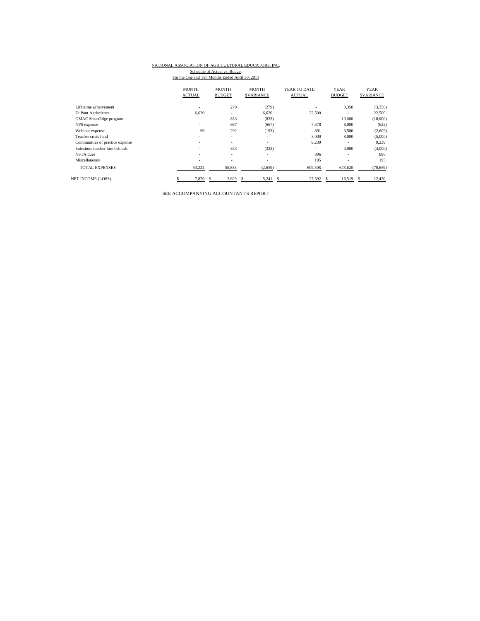## NATIONAL ASSOCIATION OF AGRICULTURAL EDUCATORS, INC.

Schedule of Actual vs. Budget<br>For the One and Ten Months Ended April 30, 2011

|                                 | <b>MONTH</b>  | <b>MONTH</b>             | <b>MONTH</b>             | YEAR TO DATE  | <b>YEAR</b>              | <b>YEAR</b>      |
|---------------------------------|---------------|--------------------------|--------------------------|---------------|--------------------------|------------------|
|                                 | <b>ACTUAL</b> | <b>BUDGET</b>            | <b>SVARIANCE</b>         | <b>ACTUAL</b> | <b>BUDGET</b>            | <b>SVARIANCE</b> |
| Lifeteime acheivement           | ٠             | 279                      | (279)                    |               | 3,350                    | (3,350)          |
| DuPont Agriscience              | 6.620         | $\overline{\phantom{a}}$ | 6.620                    | 22.500        |                          | 22,500           |
| GMAC SmartEdge program          | ٠             | 833                      | (833)                    |               | 10,000                   | (10,000)         |
| NPS expense                     | ۰.            | 667                      | (667)                    | 7,378         | 8,000                    | (622)            |
| Webinar expense                 | 99            | 292                      | (193)                    | 891           | 3,500                    | (2,609)          |
| Teacher crisis fund             | ٠             | ٠                        | ۰                        | 3.000         | 8,000                    | (5,000)          |
| Communities of practice expense | ٠             | ٠                        | ۰                        | 9,239         | ٠                        | 9,239            |
| Substitute teacher hire behinds | ۰.            | 333                      | (333)                    |               | 4,000                    | (4,000)          |
| NSTA dues                       | ٠             | ٠                        | $\overline{\phantom{a}}$ | 896           | $\overline{\phantom{a}}$ | 896              |
| Miscellaneous                   | -             |                          |                          | 195           |                          | 195              |
| <b>TOTAL EXPENSES</b>           | 53,224        | 55,883                   | (2,659)                  | 609,508       | 678,620                  | (70, 659)        |
| <b>NET INCOME (LOSS)</b>        | 7,870         | 2,629                    | 5,241<br>S               | 27,392<br>s   | 16,519<br>£.             | 12,420<br>s      |

SEE ACCOMPANYING ACCOUNTANT'S REPORT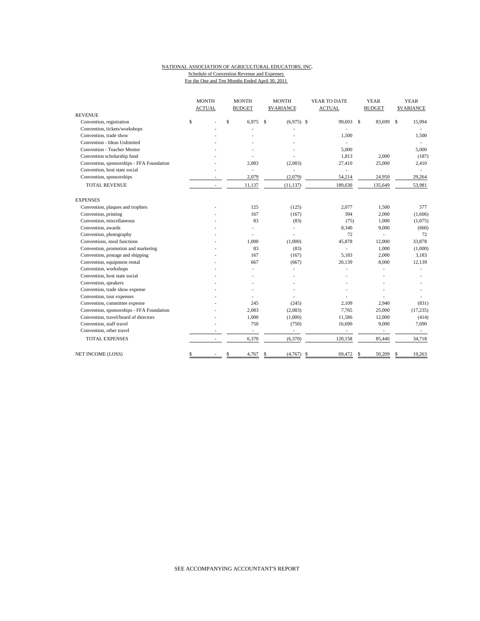### NATIONAL ASSOCIATION OF AGRICULTURAL EDUCATORS, INC. Schedule of Convention Revenue and Expenses

For the One and Ten Months Ended April 30, 2011

|                                           | <b>MONTH</b>             |    | <b>MONTH</b>   | <b>MONTH</b> |                   | YEAR TO DATE             |               | <b>YEAR</b>              | <b>YEAR</b> |                   |
|-------------------------------------------|--------------------------|----|----------------|--------------|-------------------|--------------------------|---------------|--------------------------|-------------|-------------------|
|                                           | <b>ACTUAL</b>            |    | <b>BUDGET</b>  |              | <b>\$VARIANCE</b> | <b>ACTUAL</b>            |               | <b>BUDGET</b>            |             | <b>\$VARIANCE</b> |
| <b>REVENUE</b>                            |                          |    |                |              |                   |                          |               |                          |             |                   |
| Convention, registration                  | \$                       | \$ | 6.975          | \$           | $(6,975)$ \$      | 99,693                   | $\mathcal{S}$ | 83,699                   | $\mathbf S$ | 15,994            |
| Convention, tickets/workshops             |                          |    |                |              |                   |                          |               |                          |             |                   |
| Convention, trade show                    |                          |    |                |              |                   | 1,500                    |               |                          |             | 1,500             |
| Convention - Ideas Unlimited              |                          |    |                |              |                   |                          |               |                          |             |                   |
| Convention - Teacher Mentor               |                          |    |                |              |                   | 5,000                    |               |                          |             | 5,000             |
| Convention scholarship fund               |                          |    |                |              |                   | 1,813                    |               | 2,000                    |             | (187)             |
| Convention, sponsorships - FFA Foundation |                          |    | 2.083          |              | (2,083)           | 27,410                   |               | 25,000                   |             | 2,410             |
| Convention, host state social             |                          |    | ÷.             |              |                   |                          |               |                          |             |                   |
| Convention, sponsorships                  |                          |    | 2,079          |              | (2,079)           | 54,214                   |               | 24,950                   |             | 29,264            |
| <b>TOTAL REVENUE</b>                      |                          |    | 11,137         |              | (11, 137)         | 189,630                  |               | 135,649                  |             | 53,981            |
| <b>EXPENSES</b>                           |                          |    |                |              |                   |                          |               |                          |             |                   |
| Convention, plaques and trophies          |                          |    | 125            |              | (125)             | 2,077                    |               | 1,500                    |             | 577               |
| Convention, printing                      |                          |    | 167            |              | (167)             | 394                      |               | 2,000                    |             | (1,606)           |
| Convention, miscellaneous                 |                          |    | 83             |              | (83)              | (75)                     |               | 1,000                    |             | (1,075)           |
| Convention, awards                        |                          |    | $\overline{a}$ |              |                   | 8,340                    |               | 9,000                    |             | (660)             |
| Convention, photography                   |                          |    | $\overline{a}$ |              |                   | 72                       |               |                          |             | 72                |
| Conventions, meal functions               |                          |    | 1,000          |              | (1,000)           | 45,878                   |               | 12,000                   |             | 33,878            |
| Convention, promotion and marketing       |                          |    | 83             |              | (83)              |                          |               | 1,000                    |             | (1,000)           |
| Convention, postage and shipping          |                          |    | 167            |              | (167)             | 5,183                    |               | 2,000                    |             | 3,183             |
| Convention, equipment rental              |                          |    | 667            |              | (667)             | 20,139                   |               | 8,000                    |             | 12,139            |
| Convention, workshops                     |                          |    |                |              |                   |                          |               |                          |             |                   |
| Convention, host state social             |                          |    |                |              |                   |                          |               |                          |             |                   |
| Convention, speakers                      |                          |    |                |              |                   |                          |               |                          |             |                   |
| Convention, trade show expense            |                          |    |                |              |                   |                          |               |                          |             |                   |
| Convention, tour expenses                 |                          |    |                |              |                   |                          |               |                          |             |                   |
| Convention, committee expense             |                          |    | 245            |              | (245)             | 2,109                    |               | 2,940                    |             | (831)             |
| Convention, sponsorships - FFA Foundation |                          |    | 2,083          |              | (2,083)           | 7,765                    |               | 25,000                   |             | (17, 235)         |
| Convention, travel/board of directors     |                          |    | 1,000          |              | (1,000)           | 11,586                   |               | 12,000                   |             | (414)             |
| Convention, staff travel                  |                          |    | 750            |              | (750)             | 16,690                   |               | 9,000                    |             | 7,690             |
| Convention, other travel                  |                          |    | $\frac{1}{2}$  |              | ÷,                | $\overline{\phantom{a}}$ |               | $\overline{\phantom{a}}$ |             | $\sim$            |
| <b>TOTAL EXPENSES</b>                     | $\overline{\phantom{a}}$ |    | 6,370          |              | (6,370)           | 120,158                  |               | 85,440                   |             | 34,718            |
| NET INCOME (LOSS)                         | \$                       |    | \$<br>4,767    | \$           | (4,767)           | \$<br>69,472             | \$            | 50,209                   | S           | 19,263            |